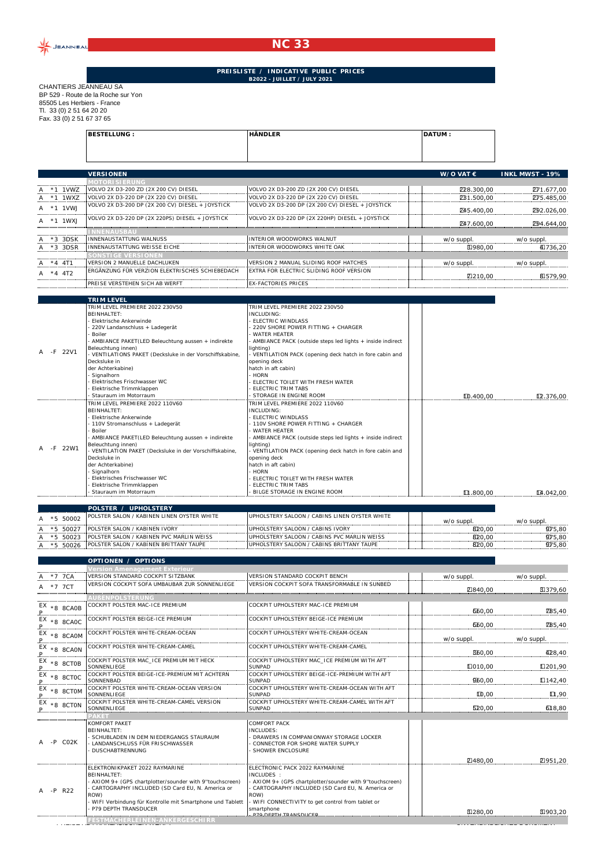

## **NC 33**

## **PREISLISTE / INDICATIVE PUBLIC PRICES B2022 - JUILLET / JULY 2021**

CHANTIERS JEANNEAU SA BP 529 - Route de la Roche sur Yon 85505 Les Herbiers - France Tl. 33 (0) 2 51 64 20 20 Fax. 33 (0) 2 51 67 37 65

|               | <b>BESTELLUNG:</b>                                       | <b>HÄNDLER</b>                                              | DATUM:             |                        |
|---------------|----------------------------------------------------------|-------------------------------------------------------------|--------------------|------------------------|
|               |                                                          |                                                             |                    |                        |
|               | <b>VERSIONEN</b>                                         |                                                             | W/O VAT $\epsilon$ | <b>INKL MWST - 19%</b> |
|               | <b>MOTORI SI ERUNG</b>                                   |                                                             |                    |                        |
| $*1$ 1VWZ     | VOLVO 2X D3-200 ZD (2X 200 CV) DIESEL                    | VOLVO 2X D3-200 ZD (2X 200 CV) DIESEL                       | P28.300,00         | Z71.677,00             |
| $*1$ 1WXZ     | VOLVO 2X D3-220 DP (2X 220 CV) DIESEL                    | VOLVO 2X D3-220 DP (2X 220 CV) DIESEL                       | <b>2B1.500.00</b>  | D75.485,00             |
| A *1 1 VW.I   | VOLVO 2X D3-200 DP (2X 200 CV) DIESEL + JOYSTICK         | VOLVO 2X D3-200 DP (2X 200 CV) DIESEL + JOYSTICK            | 245.400.00         | 292.026,00             |
| A *1 1WXJ     | VOLVO 2X D3-220 DP (2X 220PS) DIESEL + JOYSTICK          | VOLVO 2X D3-220 DP (2X 220HP) DIESEL + JOYSTICK             | 247.600,00         | Z94.644,00             |
|               | <b>INNENAUSBAU</b>                                       |                                                             |                    |                        |
| *3 3DSK       | INNENAUSTATTUNG WALNUSS                                  | INTERIOR WOODWORKS WALNUT                                   | w/o suppl.         | w/o suppl.             |
| A *3 3DSR     | INNENAUSTATTUNG WEISSE EICHE                             | INTERIOR WOODWORKS WHITE OAK                                | E1980,00           | 40736,20               |
|               | SONSTIGE VERSIONEN                                       |                                                             |                    |                        |
| $A * 4 4T1$   | VERSION 2 MANUELLE DACHLUKEN                             | VERSION 2 MANUAL SLIDING ROOF HATCHES                       | w/o suppl.         | w/o suppl.             |
| $*4$ 4T2<br>A | ERGÄNZUNG FÜR VERZION ELEKTRISCHES SCHIEBEDACH           | EXTRA FOR ELECTRIC SLIDING ROOF VERSION                     | Z210.00            | 81579.90               |
|               | PREISE VERSTEHEN SICH AB WERFT                           | <b>EX-FACTORIES PRICES</b>                                  |                    |                        |
|               | <b>TRIM LEVEL</b>                                        |                                                             |                    |                        |
|               | TRIM LEVEL PREMIERE 2022 230V50<br><b>BEINHALTET:</b>    | TRIM LEVEL PREMIERE 2022 230V50                             |                    |                        |
|               | Elektrische Ankerwinde                                   | INCLUDING:<br><b>ELECTRIC WINDLASS</b>                      |                    |                        |
|               | 220V Landanschluss + Ladegerät                           | 220V SHORE POWER FITTING + CHARGER                          |                    |                        |
|               | Boiler                                                   | <b>WATER HEATER</b>                                         |                    |                        |
|               | - AMBIANCE PAKET(LED Beleuchtung aussen + indirekte      | - AMBIANCE PACK (outside steps led lights + inside indirect |                    |                        |
|               | Beleuchtung innen)                                       | lighting)                                                   |                    |                        |
| A -F 22V1     | - VENTILATIONS PAKET (Decksluke in der Vorschiffskabine. | VENTILATION PACK (opening deck hatch in fore cabin and      |                    |                        |
|               | Decksluke in                                             | opening deck                                                |                    |                        |
|               | der Achterkabine)                                        | hatch in aft cabin)                                         |                    |                        |
|               | Signalhorn                                               | <b>HORN</b>                                                 |                    |                        |
|               | Elektrisches Frischwasser WC                             | ELECTRIC TOILET WITH FRESH WATER                            |                    |                        |
|               | Elektrische Trimmklappen<br>Stauraum im Motorraum        | <b>ELECTRIC TRIM TABS</b><br>STORAGE IN ENGINE ROOM         | ID.400,00          | LZ.376,00              |
|               | TRIM LEVEL PREMIERE 2022 110V60                          | TRIM LEVEL PREMIERE 2022 110V60                             |                    |                        |
|               | <b>BEINHALTET:</b>                                       | INCLUDING:                                                  |                    |                        |
|               | Elektrische Ankerwinde                                   | ELECTRIC WINDLASS                                           |                    |                        |
|               | - 110V Stromanschluss + Ladegerät                        | 110V SHORE POWER FITTING + CHARGER                          |                    |                        |
|               | <b>Boiler</b>                                            | <b>WATER HEATER</b>                                         |                    |                        |
|               | - AMBIANCE PAKET(LED Beleuchtung aussen + indirekte      | AMBIANCE PACK (outside steps led lights + inside indirect   |                    |                        |
| A -F 22W1     | Beleuchtung innen)                                       | lighting)                                                   |                    |                        |
|               | VENTILATION PAKET (Decksluke in der Vorschiffskabine,    | - VENTILATION PACK (opening deck hatch in fore cabin and    |                    |                        |

|  |            | - VENTILATION PANET (DECKSIUNE III GEI VOLSCHIIISKADIHE, | - VENTLEATION PACK (ODENING GECK HALCH IN TOTE CADIN AND |              |                |
|--|------------|----------------------------------------------------------|----------------------------------------------------------|--------------|----------------|
|  |            | Decksluke in                                             | opening deck                                             |              |                |
|  |            | der Achterkabine)                                        | hatch in aft cabin)                                      |              |                |
|  |            | - Signalhorn                                             | - HORN                                                   |              |                |
|  |            | - Elektrisches Frischwasser WC                           | ELECTRIC TOILET WITH FRESH WATER                         |              |                |
|  |            | - Elektrische Trimmklappen                               | ELECTRIC TRIM TABS                                       |              |                |
|  |            | - Stauraum im Motorraum                                  | BILGE STORAGE IN ENGINE ROOM                             | $\Pi.800.00$ | $\Pi$ 4.042,00 |
|  |            |                                                          |                                                          |              |                |
|  |            | POLSTER / UPHOLSTERY                                     |                                                          |              |                |
|  | A *5 50002 | <b>POLSTER SALON / KABINEN LINEN OYSTER WHITE</b>        | UPHOLSTERY SALOON / CABINS LINEN OYSTER WHITE            |              |                |
|  |            |                                                          |                                                          | w/o suppl.   | w/o suppl      |
|  | A *5 50027 | <b>POLSTER SALON / KABINEN IVORY</b>                     | IUPHOLSTERY SALOON / CABINS IVORY                        | 820.00       | 9075.80        |
|  | A *5 50023 | POLSTER SALON / KABINEN PVC MARLIN WEISS                 | UPHOLSTERY SALOON / CABINS PVC MARLIN WEISS              | 820.00       | 975.80         |
|  | A *5 50026 | <b>POLSTER SALON / KABINEN BRITTANY TAUPE</b>            | UPHOLSTERY SALOON / CABINS BRITTANY TAUPE                | 820.00       | 9075.80        |
|  |            |                                                          |                                                          |              |                |

|                              | <b>OPTIONEN / OPTIONS</b>                                                                                                                                                                                                                                                  |                                                                                                                                                                                                                                                                        |                 |               |
|------------------------------|----------------------------------------------------------------------------------------------------------------------------------------------------------------------------------------------------------------------------------------------------------------------------|------------------------------------------------------------------------------------------------------------------------------------------------------------------------------------------------------------------------------------------------------------------------|-----------------|---------------|
|                              | /ersion Amenagement Exterieur                                                                                                                                                                                                                                              |                                                                                                                                                                                                                                                                        |                 |               |
| $*7$ 7CA                     | VERSION STANDARD COCKPIT SITZBANK                                                                                                                                                                                                                                          | VERSION STANDARD COCKPIT BENCH                                                                                                                                                                                                                                         | w/o suppl.      | w/o suppl.    |
| $*7$ 7CT                     | VERSION COCKPIT SOFA UMBAUBAR ZUR SONNENLIEGE                                                                                                                                                                                                                              | VERSION COCKPIT SOFA TRANSFORMABLE IN SUNBED                                                                                                                                                                                                                           | <b>Z840.00</b>  | E1379.60      |
|                              | <b>AUßENPOLSTERUNG</b>                                                                                                                                                                                                                                                     |                                                                                                                                                                                                                                                                        |                 |               |
| EX<br>*8 8CA0B               | COCKPIT POLSTER MAC-ICE PREMIUM                                                                                                                                                                                                                                            | COCKPIT UPHOLSTERY MAC-ICE PREMIUM                                                                                                                                                                                                                                     | 660.00          | <b>Z85.40</b> |
| EX<br>*8 8CA0C               | COCKPIT POLSTER BEIGE-ICE PREMIUM                                                                                                                                                                                                                                          | COCKPIT UPHOLSTERY BEIGE-ICE PREMIUM                                                                                                                                                                                                                                   | 660.00          | <b>Z85,40</b> |
| EX<br>*8 8CAOM               | COCKPIT POLSTER WHITE-CREAM-OCEAN                                                                                                                                                                                                                                          | COCKPIT UPHOLSTERY WHITE-CREAM-OCEAN                                                                                                                                                                                                                                   | w/o suppl.      | w/o suppl.    |
| EX<br>*8 8CAON               | COCKPIT POLSTER WHITE-CREAM-CAMEL                                                                                                                                                                                                                                          | COCKPIT UPHOLSTERY WHITE-CREAM-CAMEI                                                                                                                                                                                                                                   | B60.00          | 4128,40       |
| *8 8CTOB                     | COCKPIT POLSTER MAC_ICE PREMIUM MIT HECK<br>SONNENLIEGE                                                                                                                                                                                                                    | COCKPIT UPHOLSTERY MAC_ICE PREMIUM WITH AFT<br>SUNPAD                                                                                                                                                                                                                  | $\Box 010.00$   | □201,90       |
| EX<br>$*8$ $8$ CTOC          | COCKPIT POLSTER BEIGE-ICE-PREMIUM MIT ACHTERN<br>SONNENBAD                                                                                                                                                                                                                 | COCKPIT UPHOLSTERY BEIGE-ICE-PREMIUM WITH AFT<br><b>SUNPAD</b>                                                                                                                                                                                                         | 906,00          | $\Pi$ 142,40  |
| *8 8CTOM                     | COCKPIT POLSTER WHITE-CREAM-OCEAN VERSION<br>SONNENLIEGE                                                                                                                                                                                                                   | COCKPIT UPHOLSTERY WHITE-CREAM-OCEAN WITH AFT<br><b>SUNPAD</b>                                                                                                                                                                                                         | ID.00           | $\Pi$ ,90     |
| ЕX<br>*8 8CTON               | COCKPIT POLSTER WHITE-CREAM-CAMEL VERSION<br>SONNENLIEGE                                                                                                                                                                                                                   | COCKPIT UPHOLSTERY WHITE-CREAM-CAMEL WITH AFT<br><b>SUNPAD</b>                                                                                                                                                                                                         | <b>520.00</b>   | 618,80        |
|                              | PAKET                                                                                                                                                                                                                                                                      |                                                                                                                                                                                                                                                                        |                 |               |
| $A - P$<br>CO <sub>2</sub> K | <b>KOMFORT PAKET</b><br><b>BEINHALTET:</b><br>- SCHUBLADEN IN DEM NIEDERGANGS STAURAUM<br>- LANDANSCHLUSS FÜR FRISCHWASSER<br>DUSCHABTRENNUNG                                                                                                                              | <b>COMFORT PACK</b><br><b>INCLUDES:</b><br>- DRAWERS IN COMPANIONWAY STORAGE LOCKER<br>CONNECTOR FOR SHORE WATER SUPPLY<br>SHOWER ENCLOSURE                                                                                                                            |                 |               |
|                              |                                                                                                                                                                                                                                                                            |                                                                                                                                                                                                                                                                        | <b>Z1480.00</b> | 四951.20       |
| A -P R22                     | ELEKTRONIKPAKET 2022 RAYMARINE<br><b>BEINHALTET:</b><br>- AXIOM 9+ (GPS chartplotter/sounder with 9"touchscreen)<br>- CARTOGRAPHY INCLUDED (SD Card EU, N. America or<br>ROW)<br>- WIFI Verbindung für Kontrolle mit Smartphone und Tablett<br><b>P79 DEPTH TRANSDUCER</b> | ELECTRONIC PACK 2022 RAYMARINE<br>INCLUDES:<br>- AXIOM 9+ (GPS chartplotter/sounder with 9"touchscreen)<br>- CARTOGRAPHY INCLUDED (SD Card EU, N. America or<br>ROW)<br>- WIFI CONNECTIVITY to get control from tablet or<br>smartphone<br><b>P70 DEPTH TRANSDUCER</b> | B1280.00        | B1903.20      |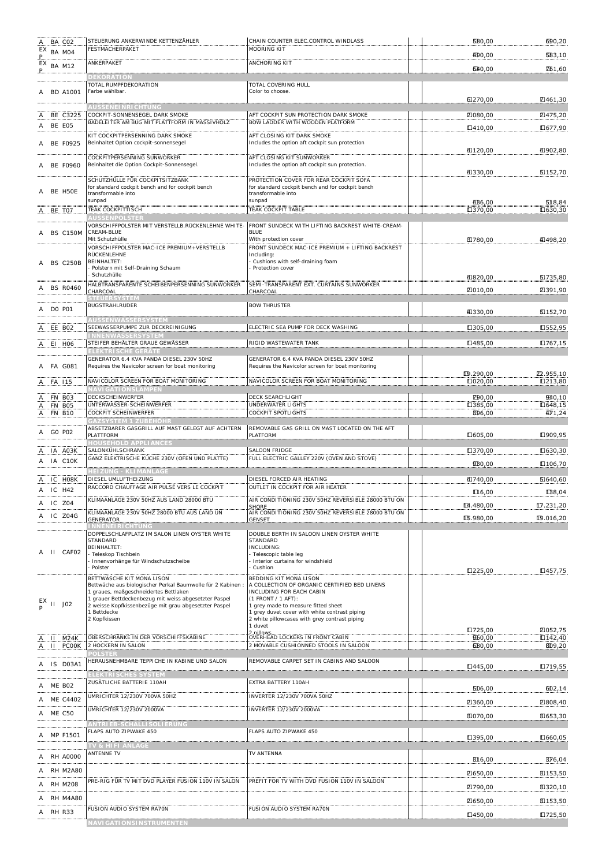| BA CO <sub>2</sub><br>A<br>EX<br>P | STEUERUNG ANKERWINDE KETTENZÄHLER<br>FESTMACHERPAKET                                                 | CHAIN COUNTER ELEC.CONTROL WINDLASS<br><b>MOORING KIT</b>                                     | <b>580,00</b>              | 690,20                                     |
|------------------------------------|------------------------------------------------------------------------------------------------------|-----------------------------------------------------------------------------------------------|----------------------------|--------------------------------------------|
| BA M04                             | ANKERPAKET                                                                                           | ANCHORING KIT                                                                                 | 400,00                     | 583,10                                     |
| $EX$ BA M12                        |                                                                                                      |                                                                                               | 640,00                     | <b>Z61,60</b>                              |
| A BD A1001                         | <b>DEKORATION</b><br>TOTAL RUMPFDEKORATION<br>Farbe wählbar.                                         | TOTAL COVERING HULL<br>Color to choose.                                                       |                            |                                            |
|                                    | <b>AUSSENEINRICHTUNG</b>                                                                             |                                                                                               | 6270,00                    | Z461,30                                    |
| BE C3225                           | COCKPIT-SONNENSEGEL DARK SMOKE<br>BADELEITER AM BUG MIT PLATTFORM IN MASSIVHOLZ                      | AFT COCKPIT SUN PROTECTION DARK SMOKE<br>BOW LADDER WITH WOODEN PLATFORM                      | 2080,00                    | 21475,20                                   |
| A BE E05                           |                                                                                                      |                                                                                               | □410,00                    | Ⅱ677,90                                    |
| <b>BE F0925</b><br>Α               | KIT COCKPITPERSENNING DARK SMOKE<br>Beinhaltet Option cockpit-sonnensegel                            | AFT CLOSING KIT DARK SMOKE<br>Includes the option aft cockpit sun protection                  | 4120,00                    | 40902,80                                   |
| <b>BE F0960</b>                    | <b>COCKPITPERSENNING SUNWORKER</b><br>Beinhaltet die Option Cockpit-Sonnensegel.                     | AFT CLOSING KIT SUNWORKER<br>Includes the option aft cockpit sun protection.                  | 41330,00                   | E152,70                                    |
|                                    | SCHUTZHÜLLE FÜR COCKPITSITZBANK<br>for standard cockpit bench and for cockpit bench                  | PROTECTION COVER FOR REAR COCKPIT SOFA<br>for standard cockpit bench and for cockpit bench    |                            |                                            |
| BE H5OE                            | transformable into<br>sunpad                                                                         | transformable into<br>sunpad                                                                  | 4D6,00                     | 518,84                                     |
| BE TO7<br>A                        | TEAK COCKPITTISCH<br><b>AUSSENPOLSTER</b>                                                            | TEAK COCKPIT TABLE                                                                            | □370,00                    | □630,30                                    |
|                                    | VORSCHIFFPOLSTER MIT VERSTELLB.RÜCKENLEHNE WHITE-                                                    | FRONT SUNDECK WITH LIFTING BACKREST WHITE-CREAM-                                              |                            |                                            |
| BS C150M<br>Α                      | CREAM-BLUE<br>Mit Schutzhülle                                                                        | <b>BLUE</b><br>With protection cover                                                          | EI780,00                   | 4098,20                                    |
|                                    | VORSCHIFFPOLSTER MAC-ICE PREMIUM+VERSTELLB<br>RÜCKENLEHNE                                            | FRONT SUNDECK MAC-ICE PREMIUM + LIFTING BACKREST<br>Including:                                |                            |                                            |
| <b>BS C250B</b><br>Α               | <b>BEINHALTET:</b><br>Polstern mit Self-Draining Schaum                                              | Cushions with self-draining foam<br>Protection cover                                          |                            |                                            |
|                                    | Schutzhülle<br>HALBTRANSPARENTE SCHEIBENPERSENNING SUNWORKER                                         | SEMI-TRANSPARENT EXT. CURTAINS SUNWORKER                                                      | 41820,00                   | E1735,80                                   |
| <b>BS R0460</b>                    | CHARCOAL<br><b>STEUERSYSTEM</b>                                                                      | CHARCOAL                                                                                      | 2010,00                    | 2391,90                                    |
| <b>DO PO1</b><br>Α                 | <b>BUGSTRAHLRUDER</b>                                                                                | <b>BOW THRUSTER</b>                                                                           | 41330,00                   | E152,70                                    |
| A EE BO2                           | <b>IUSSENWASSERSYSTEM</b><br>SEEWASSERPUMPE ZUR DECKREINIGUNG                                        | ELECTRIC SEA PUMP FOR DECK WASHING                                                            | □305,00                    | □552,95                                    |
| EI HO6                             | <b>NNENWASSERSYSTE</b><br>STEIFER BEHÄLTER GRAUE GEWÄSSER                                            | RIGID WASTEWATER TANK                                                                         | □485,00                    | □767,15                                    |
|                                    | ELEKTRISCHE GERÄ                                                                                     |                                                                                               |                            |                                            |
| FA G081                            | GENERATOR 6.4 KVA PANDA DIESEL 230V 50HZ<br>Requires the Navicolor screen for boat monitoring        | GENERATOR 6.4 KVA PANDA DIESEL 230V 50HZ<br>Requires the Navicolor screen for boat monitoring |                            |                                            |
| FA 115                             | NAVICOLOR SCREEN FOR BOAT MONITORING                                                                 | NAVICOLOR SCREEN FOR BOAT MONITORING                                                          | ID.290,00<br>$\Box$ 020,00 | D <sub>2</sub> .955,10<br>$\square$ 213,80 |
| Α<br>FN BO3                        | <b>VAVI GATI ONSLAMPEN</b><br>DECKSCHEINWERFER                                                       | DECK SEARCHLIGHT                                                                              | <b>Z90,00</b>              | 940,10                                     |
| FN BO5<br>Ą<br><b>FN B10</b><br>Α  | UNTERWASSER-SCHEINWERFER<br>COCKPIT SCHEINWERFER                                                     | UNDERWATER LIGHTS<br>COCKPIT SPOTLIGHTS                                                       | □385,00<br>B96,00          | $\Box 648, 15$<br>471,24                   |
|                                    | GAZSYSTEM 1 ZUBEHÖHI                                                                                 |                                                                                               |                            |                                            |
| GO PO2<br>Α                        | ABSETZBARER GASGRILL AUF MAST GELEGT AUF ACHTERN<br>PLATTFORM<br><b>HOUSEHOLD APPLIANCES</b>         | REMOVABLE GAS GRILL ON MAST LOCATED ON THE AFT<br>PLATFORM                                    | $\Box 605,00$              | Ⅱ909,95                                    |
| IA A03K                            | SALONKÜHLSCHRANK<br>GANZ ELEKTRISCHE KÜCHE 230V (OFEN UND PLATTE)                                    | <b>SALOON FRIDGE</b><br>FULL ELECTRIC GALLEY 220V (OVEN AND STOVE)                            | □370,00                    | □630,30                                    |
| IA C10K<br>Α                       | <b>HEIZUNG - KLIMANLAGE</b>                                                                          |                                                                                               | 9B0,00                     | $\Pi$ 106,70                               |
| IC HO8K                            | DIESEL UMLUFTHEIZUNG<br>RACCORD CHAUFFAGE AIR PULSÉ VERS LE COCKPIT                                  | DIESEL FORCED AIR HEATING                                                                     | 40,00                      | <b>5640,60</b>                             |
| A IC H42                           |                                                                                                      | OUTLET IN COCKPIT FOR AIR HEATER                                                              | $\Pi$ 6,00                 | LB8,04                                     |
| A IC Z04                           | KLIMAANLAGE 230V 50HZ AUS LAND 28000 BTU                                                             | AIR CONDITIONING 230V 50HZ REVERSIBLE 28000 BTU ON<br><b>SHORE</b>                            | 14.480,00                  | $\Pi$ .231,20                              |
| IC Z04G<br>Α                       | KLIMAANLAGE 230V 50HZ 28000 BTU AUS LAND UN<br><b>GENERATOR</b><br><b>INNENEIRICHTUNG</b>            | AIR CONDITIONING 230V 50HZ REVERSIBLE 28000 BTU ON<br><b>GENSET</b>                           | LG.980,00                  | L9.016,20                                  |
|                                    | DOPPELSCHLAFPLATZ IM SALON LINEN OYSTER WHITE<br>STANDARD                                            | DOUBLE BERTH IN SALOON LINEN OYSTER WHITE<br>STANDARD                                         |                            |                                            |
| II CAF02<br>A                      | <b>BEINHALTET:</b>                                                                                   | INCLUDING:                                                                                    |                            |                                            |
|                                    | Teleskop Tischbein<br>Innenvorhänge für Windschutzscheibe                                            | Telescopic table leg<br>Interior curtains for windshield                                      |                            |                                            |
|                                    | Polster<br>BETTWÄSCHE KIT MONA LISON                                                                 | Cushion<br>BEDDING KIT MONA LISON                                                             | Ⅱ225,00                    | Ⅱ457,75                                    |
|                                    | Bettwäche aus biologischer Perkal Baumwolle für 2 Kabinen :<br>I graues, maßgeschneidertes Bettlaken | A COLLECTION OF ORGANIC CERTIFIED BED LINENS<br>INCLUDING FOR EACH CABIN                      |                            |                                            |
| $11$ J02                           | 1 grauer Bettdeckenbezug mit weiss abgesetzter Paspel                                                | (1 FRONT / 1 AFT):                                                                            |                            |                                            |
|                                    | 2 weisse Kopfkissenbezüge mit grau abgesetzter Paspel<br>1 Bettdecke                                 | 1 grey made to measure fitted sheet<br>1 grey duvet cover with white contrast piping          |                            |                                            |
|                                    | 2 Kopfkissen                                                                                         | 2 white pillowcases with grey contrast piping<br>1 duvet                                      | □725,00                    | <b>ZI052,75</b>                            |
| A II M24K                          | OBERSCHRÄNKE IN DER VORSCHIFFSKABINE                                                                 | 2 nillows.<br>OVERHEAD LOCKERS IN FRONT CABIN                                                 | 960,00                     | $\Pi$ 142,40                               |
| II PCOOK<br>Α                      | 2 HOCKERN IN SALON<br><b>OLSTER</b>                                                                  | 2 MOVABLE CUSHIONNED STOOLS IN SALOON                                                         | 680,00                     | 809,20                                     |
| IS DO3A1<br>Α                      | HERAUSNEHMBARE TEPPICHE IN KABINE UND SALON                                                          | REMOVABLE CARPET SET IN CABINS AND SALOON                                                     | □445,00                    | Ⅱ719,55                                    |
| A ME BO2                           | <b>ELEKTRISCHES SYSTEM</b><br>ZUSÄTLICHE BATTERIE 110AH                                              | EXTRA BATTERY 110AH                                                                           | ED6,00                     | 602,14                                     |
| A ME C4402                         | UMRICHTER 12/230V 700VA 50HZ                                                                         | INVERTER 12/230V 700VA 50HZ                                                                   | 2360,00                    | 2308,40                                    |
| <b>ME C50</b><br>Α                 | UMRICHTER 12/230V 2000VA                                                                             | INVERTER 12/230V 2000VA                                                                       | E1070,00                   |                                            |
|                                    | ANTRI EB-SCHALLI SOLI ERUNG                                                                          |                                                                                               |                            | E1653,30                                   |
| MP F1501<br>Α                      | FLAPS AUTO ZIPWAKE 450                                                                               | FLAPS AUTO ZIPWAKE 450                                                                        | □395,00                    | Ⅱ660,05                                    |
| <b>RH A0000</b><br>Α               | <b>TV &amp; HIFI ANLAGE</b><br>ANTENNE TV                                                            | TV ANTENNA                                                                                    | E16,00                     | BJ 6,04                                    |
| <b>RH M2A80</b>                    |                                                                                                      |                                                                                               | 21650,00                   | E1153,50                                   |
| RH M208<br>Α                       | PRE-RIG FÜR TV MIT DVD PLAYER FUSION 110V IN SALON                                                   | PREFIT FOR TV WITH DVD FUSION 110V IN SALOON                                                  | ■790,00                    | E1320,10                                   |
| RH M4A80                           |                                                                                                      |                                                                                               | 2650,00                    | E153,50                                    |
| RH R33                             | FUSION AUDIO SYSTEM RA70N                                                                            | FUSION AUDIO SYSTEM RA70N                                                                     | Ⅱ450,00                    | Ⅱ725,50                                    |
|                                    | <b>JAVIGATIONSINSTRUMENTE</b>                                                                        |                                                                                               |                            |                                            |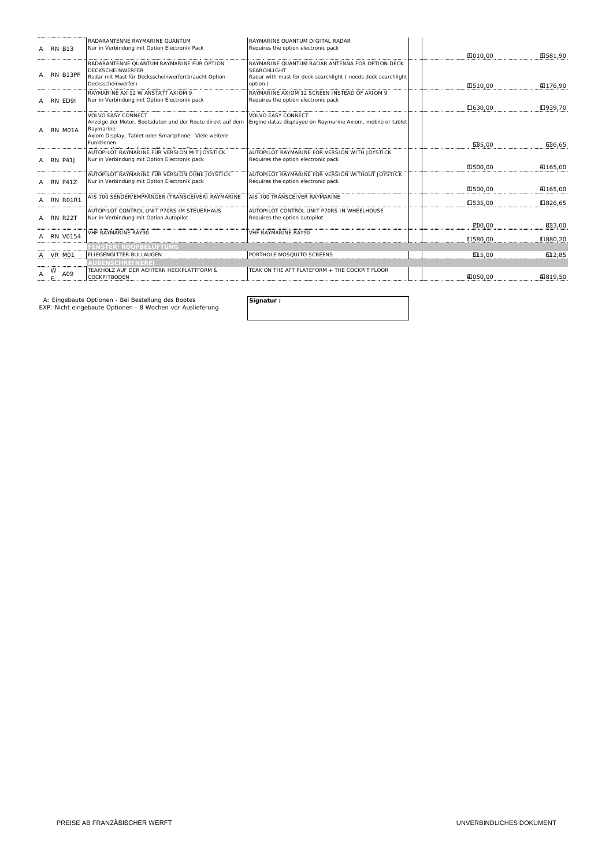| A RN B13        | RADARANTENNE RAYMARINE QUANTUM<br>Nur in Verbindung mit Option Electronik Pack    | RAYMARINE QUANTUM DIGITAL RADAR<br>Requires the option electronic pack                                                 |               |          |
|-----------------|-----------------------------------------------------------------------------------|------------------------------------------------------------------------------------------------------------------------|---------------|----------|
|                 |                                                                                   |                                                                                                                        | E1010.00      | E1581.90 |
|                 | RADARANTENNE QUANTUM RAYMARINE FÜR OPTION<br><b>DECKSCHEINWERFER</b>              | RAYMARINE OUANTUM RADAR ANTENNA FOR OPTION DECK<br><b>SEARCHLIGHT</b>                                                  |               |          |
| RN B13PP        | Radar mit Mast für Decksscheinwerfer (braucht Option<br>Decksscheinwerfer)        | Radar with mast for deck searchlight (needs deck searchlight<br>option)                                                | E1510.00      | 4176,90  |
| A RN ED91       | RAYMARINE AXI12 W ANSTATT AXIOM 9<br>Nur in Verbindung mit Option Electronik pack | RAYMARINE AXIOM 12 SCREEN INSTEAD OF AXIOM 9<br>Requires the option electronic pack                                    |               |          |
|                 |                                                                                   |                                                                                                                        | □630.00       | □939.70  |
|                 | <b>VOLVO EASY CONNECT</b>                                                         | VOI VO EASY CONNECT                                                                                                    |               |          |
| A RN MO1A       | Raymarine                                                                         | Anzeige der Motor, Bootsdaten und der Route direkt auf dem Engine datas displayed on Raymarine Axiom, mobile or tablet |               |          |
|                 | Axiom Display, Tablet oder Smartphone. Viele weitere                              |                                                                                                                        |               |          |
|                 | Funktionen<br>ويسترق والمستقلب والمستفينة فستنقذ ومسائره وبراء والمناة            |                                                                                                                        | <b>635.00</b> | GB6,65   |
|                 | AUTOPILOT RAYMARINE FÜR VERSION MIT JOYSTICK                                      | AUTOPILOT RAYMARINE FOR VERSION WITH JOYSTICK                                                                          |               |          |
| <b>RN P41J</b>  | Nur in Verbindung mit Option Electronik pack                                      | Requires the option electronic pack                                                                                    |               |          |
|                 | AUTOPILOT RAYMARINE FÜR VERSION OHNE JOYSTICK                                     | AUTOPILOT RAYMARINE FOR VERSION WITHOUT JOYSTICK                                                                       | E1500.00      | 40165.00 |
| <b>RN P41Z</b>  | Nur in Verbindung mit Option Electronik pack                                      | Requires the option electronic pack                                                                                    |               |          |
|                 |                                                                                   |                                                                                                                        | E1500.00      | 40165,00 |
| RN R01R1        | AIS 700 SENDER/EMPFÄNGER (TRANSCEIVER) RAYMARINE                                  | ALS 700 TRANSCEIVER RAYMARINE                                                                                          |               |          |
|                 | AUTOPILOT CONTROL UNIT P70RS IM STEUERHAUS                                        | AUTOPILOT CONTROL UNIT P70RS IN WHEELHOUSE                                                                             | □535.00       | □826.65  |
| A RN R22T       | Nur in Verbindung mit Option Autopilot                                            | Requires the option autopilot                                                                                          |               |          |
|                 |                                                                                   |                                                                                                                        | ZD0.00        | 8B3.00   |
| <b>RN V0154</b> | <b>VHF RAYMARINE RAY90</b>                                                        | VHF RAYMARINE RAY90                                                                                                    |               |          |
|                 |                                                                                   |                                                                                                                        | IL580.00      | □880.20  |
|                 | <b>FENSTER/ROOFBELÜFTUNG</b>                                                      |                                                                                                                        |               |          |
| VR M01          | <b>FLIEGENGITTER BULLAUGEN</b>                                                    | PORTHOLE MOSQUITO SCREENS                                                                                              | 515.00        | 612.85   |
|                 | <b>\UßENSCHREINERE</b> I                                                          |                                                                                                                        |               |          |
| A09             | TEAKHOLZ AUF DER ACHTERN HECKPLATTFORM &<br><b>COCKPITBODEN</b>                   | TEAK ON THE AFT PLATEFORM + THE COCKPIT FLOOR                                                                          | 4050.00       | 40819,50 |
|                 |                                                                                   |                                                                                                                        |               |          |

A: Eingebaute Optionen - Bei Bestellung des Bootes **Signatur :<br>EXP: Nicht eingebaute Optionen - 8 Wochen vor Auslieferung <b>Signatur** :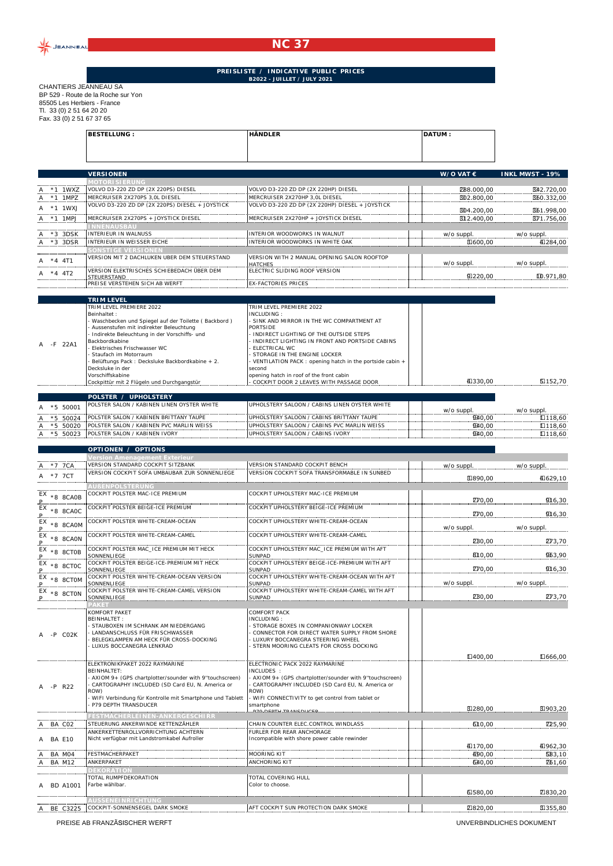

## **NC 37**

## **PREISLISTE / INDICATIVE PUBLIC PRICES B2022 - JUILLET / JULY 2021**

CHANTIERS JEANNEAU SA BP 529 - Route de la Roche sur Yon 85505 Les Herbiers - France Tl. 33 (0) 2 51 64 20 20 Fax. 33 (0) 2 51 67 37 65

| Pax. 33 (0) 2 31 67 37 63 |                                                                                    |                                                                                          |                    |                         |
|---------------------------|------------------------------------------------------------------------------------|------------------------------------------------------------------------------------------|--------------------|-------------------------|
|                           | <b>BESTELLUNG:</b>                                                                 | <b>HÄNDLER</b>                                                                           | <b>DATUM:</b>      |                         |
|                           |                                                                                    |                                                                                          |                    |                         |
|                           |                                                                                    |                                                                                          |                    |                         |
|                           |                                                                                    |                                                                                          |                    |                         |
|                           | <b>VERSIONEN</b>                                                                   |                                                                                          | W/O VAT $\epsilon$ | <b>INKL MWST - 19%</b>  |
|                           | <b><i>IOTORI SI ERUNG</i></b>                                                      |                                                                                          |                    |                         |
| 1WXZ                      | VOLVO D3-220 ZD DP (2X 220PS) DIESEL                                               | VOLVO D3-220 ZD DP (2X 220HP) DIESEL                                                     | <b>288.000,00</b>  | B42.720,00              |
| *1 1MP7                   | MERCRUISER 2X270PS 3.0L DIESEL                                                     | MERCRUISER 2X270HP 3.0L DIESEL                                                           | BD2.800,00         | B60.332,00              |
| *1 1WXJ                   | VOLVO D3-220 ZD DP (2X 220PS) DIESEL + JOYSTICK                                    | VOLVO D3-220 ZD DP (2X 220HP) DIESEL + JOYSTICK                                          | BD4.200,00         | B61.998,00              |
| $*1$ 1MPJ                 | MERCRUISER 2X270PS + JOYSTICK DIESEL                                               | MERCRUISER 2X270HP + JOYSTICK DIESEL                                                     | B12.400,00         | B71.756,00              |
|                           | <b>INNENAUSBAU</b>                                                                 |                                                                                          |                    |                         |
| $*3$ 3DSK                 | INTERIEUR IN WALNUSS                                                               | INTERIOR WOODWORKS IN WALNUT                                                             | w/o suppl.         | w/o suppl.              |
| *3 3DSR                   | INTERIEUR IN WEISSER EICHE                                                         | INTERIOR WOODWORKS IN WHITE OAK                                                          | E1600,00           | 40284,00                |
|                           | SONSTIGE VERSIONEN                                                                 |                                                                                          |                    |                         |
| $*4$ 4T1                  | VERSION MIT 2 DACHLUKEN UBER DEM STEUERSTAND                                       | VERSION WITH 2 MANUAL OPENING SALON ROOFTOP                                              | w/o suppl.         |                         |
|                           | VERSION ELEKTRISCHES SCHIEBEDACH ÜBER DEM                                          | HATCHES<br>FLECTRIC SLIDING ROOF VERSION                                                 |                    | w/o suppl.              |
| $*4$ 4T2                  | STEUERSTAND                                                                        |                                                                                          | 91220.00           | ID.971,80               |
|                           | <b>SIEUERSTAND METHEL AND THE SIEUERS OF A SIEUER SICH AB WERFT</b>                | EX-FACTORIES PRICES                                                                      |                    |                         |
|                           |                                                                                    |                                                                                          |                    |                         |
|                           | <b>TRIM LEVEL</b>                                                                  |                                                                                          |                    |                         |
|                           | TRIM LEVEL PREMIERE 2022                                                           | TRIM LEVEL PREMIERE 2022                                                                 |                    |                         |
|                           | Beinhaltet:                                                                        | INCLUDING:                                                                               |                    |                         |
|                           | - Waschbecken und Spiegel auf der Toilette (Backbord)                              | - SINK AND MIRROR IN THE WC COMPARTMENT AT                                               |                    |                         |
|                           | Aussenstufen mit indirekter Beleuchtung                                            | PORTSIDE                                                                                 |                    |                         |
|                           | - Indirekte Beleuchtung in der Vorschiffs- und                                     | INDIRECT LIGHTING OF THE OUTSIDE STEPS                                                   |                    |                         |
| -F 22A1                   | Backbordkabine                                                                     | INDIRECT LIGHTING IN FRONT AND PORTSIDE CABINS                                           |                    |                         |
|                           | Flektrisches Frischwasser WC                                                       | ELECTRICAL WC                                                                            |                    |                         |
|                           | Staufach im Motorraum                                                              | STORAGE IN THE ENGINE LOCKER                                                             |                    |                         |
|                           | Belüftungs Pack: Decksluke Backbordkabine + 2.<br>Decksluke in der                 | VENTILATION PACK: opening hatch in the portside cabin +<br>second                        |                    |                         |
|                           | Vorschiffskabine                                                                   | opening hatch in roof of the front cabin                                                 |                    |                         |
|                           | Cockpittür mit 2 Flügeln und Durchgangstür                                         | COCKPIT DOOR 2 LEAVES WITH PASSAGE DOOR                                                  | 41330,00           | E152.70                 |
|                           |                                                                                    |                                                                                          |                    |                         |
|                           | POLSTER / UPHOLSTERY                                                               |                                                                                          |                    |                         |
| $*5,50001$                | POLSTER SALON / KABINEN LINEN OYSTER WHITE                                         | UPHOLSTERY SALOON / CABINS LINEN OYSTER WHITE                                            | w/o suppl.         | w/o suppl.              |
|                           |                                                                                    |                                                                                          |                    |                         |
|                           |                                                                                    |                                                                                          |                    |                         |
| *5 50024<br>$*5.50020$    | POLSTER SALON / KABINEN BRITTANY TAUPE<br>POLSTER SALON / KABINEN PVC MARLIN WEISS | UPHOLSTERY SALOON / CABINS BRITTANY TAUPE<br>UPHOLSTERY SALOON / CABINS PVC MARLIN WEISS | 940.00<br>940,00   | $\Pi$ 118.60<br>□118,60 |

|                           | OPTIONEN / OPTIONS                                                                                                                                                                                                                                              |                                                                                                                                                                                                                                                                   |                 |                    |
|---------------------------|-----------------------------------------------------------------------------------------------------------------------------------------------------------------------------------------------------------------------------------------------------------------|-------------------------------------------------------------------------------------------------------------------------------------------------------------------------------------------------------------------------------------------------------------------|-----------------|--------------------|
|                           | Version Amenagement Exterieur                                                                                                                                                                                                                                   |                                                                                                                                                                                                                                                                   |                 |                    |
| *7 7CA                    | VERSION STANDARD COCKPIT SITZBANK                                                                                                                                                                                                                               | <b>VERSION STANDARD COCKPIT BENCH</b>                                                                                                                                                                                                                             | w/o suppl.      | w/o suppl.         |
| *7 7CT<br>A               | VERSION COCKPIT SOFA UMBAUBAR ZUR SONNENLIEGE                                                                                                                                                                                                                   | VERSION COCKPIT SOFA TRANSFORMABLE IN SUNBED                                                                                                                                                                                                                      | E1890,00        | 40629,10           |
|                           | <b>AUBENPOLSTERUNG</b>                                                                                                                                                                                                                                          |                                                                                                                                                                                                                                                                   |                 |                    |
|                           | COCKPIT POLSTER MAC-ICE PREMIUM                                                                                                                                                                                                                                 | COCKPIT UPHOLSTERY MAC-ICE PREMIUM                                                                                                                                                                                                                                |                 |                    |
| $EX \times 8$ 8CA0B<br>Р. |                                                                                                                                                                                                                                                                 |                                                                                                                                                                                                                                                                   | <b>Z70,00</b>   | 916,30             |
| EX<br>$*8$ 8CAOC          | COCKPIT POLSTER BEIGE-ICE PREMIUM                                                                                                                                                                                                                               | COCKPIT UPHOLSTERY BEIGE-ICE PREMIUM                                                                                                                                                                                                                              | <b>ZF0,00</b>   | 916,30             |
| $EX \times 8$ 8CAOM       | COCKPIT POLSTER WHITE-CREAM-OCEAN                                                                                                                                                                                                                               | COCKPIT UPHOLSTERY WHITE-CREAM-OCEAN                                                                                                                                                                                                                              | w/o suppl.      | w/o suppl.         |
| $EX \times 8$ 8CAON       | COCKPIT POLSTER WHITE-CREAM-CAMEL                                                                                                                                                                                                                               | COCKPIT UPHOLSTERY WHITE-CREAM-CAMEL                                                                                                                                                                                                                              | <b>230,00</b>   | <b>DV3,70</b>      |
| $EX \times 8$ 8CTOB       | COCKPIT POLSTER MAC_ICE PREMIUM MIT HECK                                                                                                                                                                                                                        | COCKPIT UPHOLSTERY MAC_ICE PREMIUM WITH AFT                                                                                                                                                                                                                       |                 |                    |
|                           | SONNENLIEGE                                                                                                                                                                                                                                                     | <b>SUNPAD</b>                                                                                                                                                                                                                                                     | 810,00          | 963,90             |
| EX<br>*8 8CTOC            | COCKPIT POLSTER BEIGE-ICE-PREMIUM MIT HECK<br>SONNENLIEGE                                                                                                                                                                                                       | COCKPIT UPHOLSTERY BEIGE-ICE-PREMIUM WITH AFT<br><b>SUNPAD</b>                                                                                                                                                                                                    | <b>ZF0,00</b>   | 916,30             |
| $EX \times 8$ 8CTOM       | COCKPIT POLSTER WHITE-CREAM-OCEAN VERSION                                                                                                                                                                                                                       | COCKPIT UPHOLSTERY WHITE-CREAM-OCEAN WITH AFT                                                                                                                                                                                                                     |                 |                    |
|                           | SONNENLIEGE                                                                                                                                                                                                                                                     | <b>SUNPAD</b>                                                                                                                                                                                                                                                     | w/o suppl.      | w/o suppl.         |
| $EX \times 8$ 8CTON       | COCKPIT POLSTER WHITE-CREAM-CAMEL VERSION<br>SONNENLIEGE                                                                                                                                                                                                        | COCKPIT UPHOLSTERY WHITE-CREAM-CAMEL WITH AFT<br><b>SUNPAD</b>                                                                                                                                                                                                    | <b>2B0.00</b>   | <b>DV3,70</b>      |
|                           | <b>PAKET</b>                                                                                                                                                                                                                                                    |                                                                                                                                                                                                                                                                   |                 |                    |
| -P CO2K                   | KOMFORT PAKET<br><b>BEINHALTET:</b><br><b>STAUBOXEN IM SCHRANK AM NIEDERGANG</b><br>LANDANSCHLUSS FÜR FRISCHWASSER<br>BELEGKLAMPEN AM HECK FÜR CROSS-DOCKING<br>LUXUS BOCCANEGRA LENKRAD                                                                        | <b>COMFORT PACK</b><br>INCLUDING:<br>STORAGE BOXES IN COMPANIONWAY LOCKER<br>CONNECTOR FOR DIRECT WATER SUPPLY FROM SHORE<br>LUXURY BOCCANEGRA STEERING WHEEL<br>STERN MOORING CLEATS FOR CROSS DOCKING                                                           |                 |                    |
|                           |                                                                                                                                                                                                                                                                 |                                                                                                                                                                                                                                                                   | $\Pi$ 400,00    | □666,00            |
| $-P$ R22                  | ELEKTRONIKPAKET 2022 RAYMARINE<br><b>BEINHALTET:</b><br>- AXIOM 9+ (GPS chartplotter/sounder with 9"touchscreen)<br>CARTOGRAPHY INCLUDED (SD Card EU, N. America or<br>ROW)<br>WIFI Verbindung für Kontrolle mit Smartphone und Tablett<br>P79 DEPTH TRANSDUCER | ELECTRONIC PACK 2022 RAYMARINE<br>INCLUDES:<br>AXIOM 9+ (GPS chartplotter/sounder with 9"touchscreen)<br>CARTOGRAPHY INCLUDED (SD Card EU, N. America or<br>ROW)<br>WIFI CONNECTIVITY to get control from tablet or<br>smartphone<br><b>P70 DEPTH TRANSDUCER.</b> | E1280.00        | E1903,20           |
|                           | <b>ESTMACHERLEINEN-ANKERGESCHIR</b>                                                                                                                                                                                                                             |                                                                                                                                                                                                                                                                   |                 |                    |
| A BA CO2                  | STEUERUNG ANKERWINDE KETTENZÄHLER<br>ANKERKETTENROLLVORRICHTUNG ACHTERN                                                                                                                                                                                         | CHAIN COUNTER ELEC.CONTROL WINDLASS<br>FURLER FOR REAR ANCHORAGE                                                                                                                                                                                                  | 610,00          | <b>Z25,90</b>      |
| A BA F10                  | Nicht verfügbar mit Landstromkabel Aufroller                                                                                                                                                                                                                    | Incompatible with shore power cable rewinder                                                                                                                                                                                                                      |                 |                    |
|                           | FESTMACHERPAKET                                                                                                                                                                                                                                                 | <b>MOORING KIT</b>                                                                                                                                                                                                                                                | 40,00<br>490.00 | 40962,30<br>583.10 |
| BA M04<br>A               | ANKERPAKET                                                                                                                                                                                                                                                      | <b>ANCHORING KIT</b>                                                                                                                                                                                                                                              |                 |                    |
| BA M12                    | <b>DEKORATION</b>                                                                                                                                                                                                                                               |                                                                                                                                                                                                                                                                   | 640,00          | <b>Z61,60</b>      |
|                           | TOTAL RUMPFDEKORATION                                                                                                                                                                                                                                           | TOTAL COVERING HULL                                                                                                                                                                                                                                               |                 |                    |
| <b>BD A1001</b>           | Farbe wählbar.                                                                                                                                                                                                                                                  | Color to choose.                                                                                                                                                                                                                                                  |                 |                    |
|                           |                                                                                                                                                                                                                                                                 |                                                                                                                                                                                                                                                                   | 61580,00        | 7330,20            |
|                           | <b>AUSSENEINRICHTUNG</b>                                                                                                                                                                                                                                        |                                                                                                                                                                                                                                                                   |                 |                    |
| A BE C3225                | COCKPIT-SONNENSEGEL DARK SMOKE                                                                                                                                                                                                                                  | AFT COCKPIT SUN PROTECTION DARK SMOKE                                                                                                                                                                                                                             | 2820,00         | E1355,80           |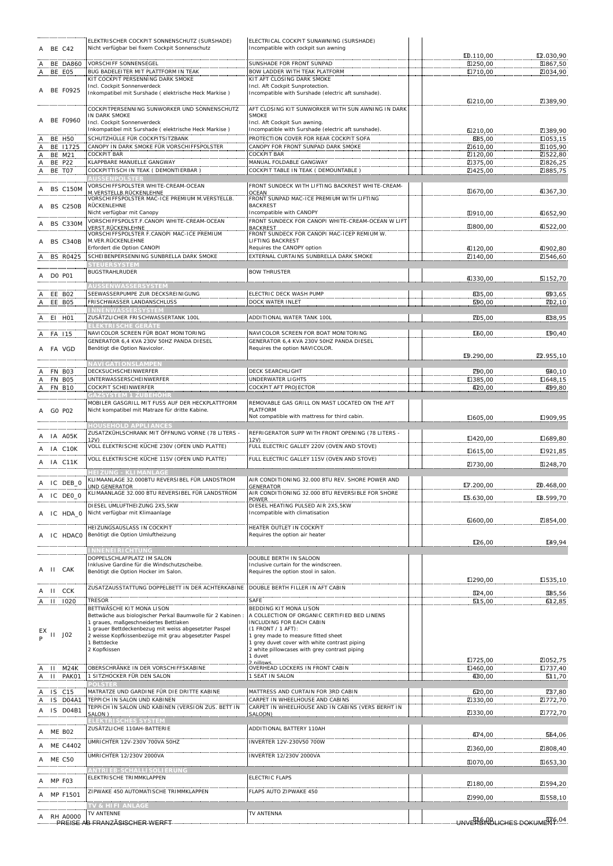| A BE C42                                  | ELEKTRISCHER COCKPIT SONNENSCHUTZ (SURSHADE)<br>Nicht verfügbar bei fixem Cockpit Sonnenschutz                 | ELECTRICAL COCKPIT SUNAWNING (SURSHADE)<br>Incompatible with cockpit sun awning                |                                        |                         |
|-------------------------------------------|----------------------------------------------------------------------------------------------------------------|------------------------------------------------------------------------------------------------|----------------------------------------|-------------------------|
| A BE DA860                                | VORSCHIFF SONNENSEGEL                                                                                          | SUNSHADE FOR FRONT SUNPAD                                                                      | ID.110,00<br>E1250,00                  | LZ.030,90<br>E1867,50   |
| BE E05<br>A.,                             | BUG BADELEITER MIT PLATTFORM IN TEAK<br>KIT COCKPIT PERSENNING DARK SMOKE                                      | <b>BOW LADDER WITH TEAK PLATFORM</b><br>KIT AFT CLOSING DARK SMOKE                             | □710,00                                | 2034,90                 |
| A BE F0925                                | Incl. Cockpit Sonnenverdeck<br>Inkompatibel mit Surshade (elektrische Heck Markise)                            | Incl. Aft Cockpit Sunprotection.<br>Incompatible with Surshade (electric aft sunshade).        | 6210,00                                | 7389,90                 |
|                                           | COCKPITPERSENNING SUNWORKER UND SONNENSCHUTZ<br>IN DARK SMOKE                                                  | AFT CLOSING KIT SUNWORKER WITH SUN AWNING IN DARK<br><b>SMOKE</b>                              |                                        |                         |
| A BE F0960                                | Incl. Cockpit Sonnenverdeck<br>Inkompatibel mit Surshade (elektrische Heck Markise)                            | Incl. Aft Cockpit Sun awning.<br>Incompatible with Surshade (electric aft sunshade).           |                                        |                         |
| <b>BE H50</b>                             | SCHUTZHÜLLE FÜR COCKPITSITZBANK                                                                                | PROTECTION COVER FOR REAR COCKPIT SOFA                                                         | 6210,00<br>885,00                      | 7389,90<br>$\Pi$ 053,15 |
| BE 11725                                  | CANOPY IN DARK SMOKE FÜR VORSCHIFFSPOLSTER                                                                     | CANOPY FOR FRONT SUNPAD DARK SMOKE<br><b>COCKPIT BAR</b>                                       | 20610,00                               | 因105,90                 |
| <b>BE M21</b><br>Ą<br><b>BE P22</b><br>A, | <b>COCKPIT BAR</b><br>KLAPPBARE MANUELLE GANGWAY                                                               | MANUAL FOLDABLE GANGWAY                                                                        | 2120,00<br><b>Z375,00</b>              | 21522,80<br>2326,25     |
| <b>BE TO7</b><br>A.                       | COCKPITTISCH IN TEAK ( DEMONTIERBAR )<br><b>AUSSENPOLSTER</b>                                                  | COCKPIT TABLE IN TEAK ( DEMOUNTABLE )                                                          | 21425,00                               | 2885,75                 |
| <b>BS C150M</b>                           | VORSCHIFFSPOLSTER WHITE-CREAM-OCEAN                                                                            | FRONT SUNDECK WITH LIFTING BACKREST WHITE-CREAM-                                               |                                        |                         |
|                                           | <u>M. VERSTELLB. RÜCKENLEHNE.</u><br>VORSCHIFFSPOLSTER MAC-ICE PREMIUM M.VERSTELLB.                            | OCEAN<br>FRONT SUNPAD MAC-ICE PREMIUM WITH LIFTING                                             | E1670,00                               | 40367,30                |
| <b>BS C250B</b>                           | RÜCKENLEHNE<br>Nicht verfügbar mit Canopy                                                                      | <b>BACKREST</b><br>Incompatible with CANOPY                                                    | E1910,00                               | 4052,90                 |
| BS C330M                                  | VORSCHIFFSPOLST.F.CANOPI WHITE-CREAM-OCEAN<br>VERST.RÜCKENLEHNE                                                | FRONT SUNDECK FOR CANOPI WHITE-CREAM-OCEAN W LIFT<br><b>BACKREST</b>                           | E1800,00                               | 40522,00                |
| <b>BS C340B</b>                           | VORSCHIFFSPOLSTER F.CANOPI MAC-ICE PREMIUM<br>M. VER. RÜCKENLEHNE                                              | FRONT SUNDECK FOR CANOPI MAC-ICEP REMIUM W.<br>LIFTING BACKREST                                |                                        |                         |
|                                           | Erfordert die Option CANOPI                                                                                    | Requires the CANOPY option                                                                     | 4120,00                                | 4002,80                 |
| A BS R0425                                | SCHEIBENPERSENNING SUNBRELLA DARK SMOKE<br><b>STEUERSYSTEM</b>                                                 | EXTERNAL CURTAINS SUNBRELLA DARK SMOKE                                                         | 2140,00                                | 21546,60                |
| A DO P01                                  | <b>BUGSTRAHLRUDER</b>                                                                                          | <b>BOW THRUSTER</b>                                                                            | 41330,00                               | 5152,70                 |
|                                           | <b>NUSSENWASSERSYSTEM</b>                                                                                      |                                                                                                |                                        |                         |
| EE BO2<br>A EE BO5                        | SEEWASSERPUMPE ZUR DECKSREINIGUNG<br>FRISCHWASSER LANDANSCHLUSS                                                | ELECTRIC DECK WASH PUMP<br><b>DOCK WATER INLET</b>                                             | 8B5,00<br><b>590,00</b>                | 993,65<br>ZD2,10        |
|                                           | NNENWASSERSYSTEM<br>ZUSÄTZLICHER FRISCHWASSERTANK 100L                                                         |                                                                                                |                                        |                         |
| A EI HO1                                  | ELEKTRISCHE GERÄTE                                                                                             | ADDITIONAL WATER TANK 100L                                                                     | ZD5,00                                 | 8B8,95                  |
| FA 115                                    | NAVICOLOR SCREEN FÜR BOAT MONITORING<br>GENERATOR 6,4 KVA 230V 50HZ PANDA DIESEL                               | NAVICOLOR SCREEN FOR BOAT MONITORING<br>GENERATOR 6,4 KVA 230V 50HZ PANDA DIESEL               | <b>LGO,00</b>                          | ID0,40                  |
| FA VGD                                    | Benötigt die Option Navicolor.                                                                                 | Requires the option NAVICOLOR.                                                                 |                                        |                         |
|                                           | <b>NAVIGATIONSLAMPEN</b>                                                                                       |                                                                                                | ID.290,00                              | D <sub>2</sub> .955,10  |
| FN BO3                                    | DECKSUCHSCHEINWERFER<br>UNTERWASSERSCHEINWERFER                                                                | DECK SEARCHLIGHT<br><b>UNDERWATER LIGHTS</b>                                                   | <b>Z90,00</b>                          | 940,10                  |
| FN BO5<br>Α.<br><b>FN B10</b>             | COCKPIT SCHEINWERFER                                                                                           | COCKPIT AFT PROJECTOR                                                                          | □385,00<br>420,00                      | $\Pi$ 648,15<br>409,80  |
|                                           | GAZSYSTEM 1 ZUBEHÖHR<br>MOBILER GASGRILL MIT FUSS AUF DER HECKPLATTFORM                                        | REMOVABLE GAS GRILL ON MAST LOCATED ON THE AFT                                                 |                                        |                         |
| GO PO2                                    | Nicht kompatibel mit Matraze für dritte Kabine.                                                                | PLATFORM                                                                                       |                                        |                         |
|                                           | <b>HOUSEHOLD APPLIANCES</b>                                                                                    | Not compatible with mattress for third cabin.                                                  | □605,00                                | Ⅱ909,95                 |
| A IA A05K                                 | ZUSATZKÜHLSCHRANK MIT ÖFFNUNG VORNE (78 LITERS -<br>12V)                                                       | REFRIGERATOR SUPP WITH FRONT OPENING (78 LITERS -                                              | □420,00                                | Ⅱ689,80                 |
| A IA C10K                                 | VOLL ELEKTRISCHE KÜCHE 230V (OFEN UND PLATTE)                                                                  | FULL ELECTRIC GALLEY 220V (OVEN AND STOVE)                                                     | □615,00                                | Ⅱ921,85                 |
| IA C11K                                   | VOLL ELEKTRISCHE KÜCHE 115V (OFEN UND PLATTE)                                                                  | FULL ELECTRIC GALLEY 115V (OVEN AND STOVE)                                                     | 2730,00                                | E1248,70                |
|                                           | <b>HEIZUNG - KLIMANLAGE</b>                                                                                    |                                                                                                |                                        |                         |
| IC DEB 0                                  | KLIMAANLAGE 32.000BTU REVERSIBEL FÜR LANDSTROM<br><u>UND GENERATOR </u>                                        | AIR CONDITIONING 32.000 BTU REV. SHORE POWER AND<br><b>GENERATOR</b>                           | $\Pi$ .200,00                          | <b>20.468,00</b>        |
| A IC DEO_O                                | KLIMAANLAGE 32.000 BTU REVERSIBEL FÜR LANDSTROM                                                                | AIR CONDITIONING 32.000 BTU REVERSIBLE FOR SHORE<br><b>POWER</b>                               | LG.630,00                              | LB.599,70               |
| A IC HDA 0                                | DIESEL UMLUFTHEIZUNG 2X5,5KW<br>Nicht verfügbar mit Klimaanlage                                                | DIESEL HEATING PULSED AIR 2X5,5KW<br>Incompatible with climatisation                           |                                        |                         |
|                                           |                                                                                                                |                                                                                                | 61600,00                               | 70854,00                |
| IC HDACO                                  | HEIZUNGSAUSLASS IN COCKPIT<br>Benötigt die Option Umluftheizung                                                | HEATER OUTLET IN COCKPIT<br>Requires the option air heater                                     |                                        |                         |
|                                           | <b>NNENEIRICHTUNG</b>                                                                                          |                                                                                                | ID <sub>6</sub> ,00                    | 149,94                  |
|                                           | DOPPELSCHLAFPLATZ IM SALON                                                                                     | DOUBLE BERTH IN SALOON                                                                         |                                        |                         |
| II CAK                                    | Inklusive Gardine für die Windschutzscheibe.<br>Benötigt die Option Hocker im Salon.                           | Inclusive curtain for the windscreen.<br>Requires the option stool in salon.                   |                                        |                         |
|                                           | ZUSATZAUSSTATTUNG DOPPELBETT IN DER ACHTERKABINE                                                               | DOUBLE BERTH FILLER IN AFT CABIN                                                               | □290,00                                | □535,10                 |
| II CCK                                    | <b>TRESOR</b>                                                                                                  | SAFE                                                                                           | B24,00                                 | BB5,56                  |
| A II 1020                                 | BETTWÄSCHE KIT MONA LISON                                                                                      | BEDDING KIT MONA LISON                                                                         | <b>515,00</b>                          | 612,85                  |
|                                           | Bettwäche aus biologischer Perkal Baumwolle für 2 Kabinen<br>1 graues, maßgeschneidertes Bettlaken             | A COLLECTION OF ORGANIC CERTIFIED BED LINENS<br>INCLUDING FOR EACH CABIN                       |                                        |                         |
| $_{P}^{EX}$ II J02                        | 1 grauer Bettdeckenbezug mit weiss abgesetzter Paspel<br>2 weisse Kopfkissenbezüge mit grau abgesetzter Paspel | (1 FRONT / 1 AFT):<br>1 grey made to measure fitted sheet                                      |                                        |                         |
|                                           | 1 Bettdecke<br>2 Kopfkissen                                                                                    | 1 grey duvet cover with white contrast piping<br>2 white pillowcases with grey contrast piping |                                        |                         |
|                                           |                                                                                                                | 1 duvet                                                                                        | □725,00                                | 2052,75                 |
| M24K<br>-11                               | OBERSCHRÄNKE IN DER VORSCHIFFSKABINE                                                                           | OVERHEAD LOCKERS IN FRONT CABIN                                                                | □460,00                                | □737,40                 |
| $\mathbf{H}$<br>PAK01                     | 1 SITZHOCKER FÜR DEN SALON<br>POLSTER                                                                          | 1 SEAT IN SALON                                                                                | 40,00                                  | 511,70                  |
| C15<br>IS.                                | MATRATZE UND GARDINE FÜR DIE DRITTE KABINE                                                                     | MATTRESS AND CURTAIN FOR 3RD CABIN                                                             | <b>620,00</b>                          | ZB7,80                  |
| IS DO4A1<br>IS D04B1                      | TEPPICH IN SALON UND KABINEN<br>TEPPICH IN SALON UND KABINEN (VERSION ZUS. BETT IN                             | CARPET IN WHEELHOUSE AND CABINS<br>CARPET IN WHEELHOUSE AND IN CABINS (VERS BERHT IN           | 2330,00                                | □772,70                 |
|                                           | SALON)<br>ELEKTRI SCHES SYSTEM                                                                                 | SALOON)                                                                                        | 2330,00                                | ☑772,70                 |
| ME BO2                                    | ZUSÄTZLICHE 110AH-BATTERIE                                                                                     | ADDITIONAL BATTERY 110AH                                                                       | 474,00                                 | 564,06                  |
| ME C4402                                  | UMRICHTER 12V-230V 700VA 50HZ                                                                                  | INVERTER 12V-230V50 700W                                                                       | 2360,00                                | 2086,40                 |
| <b>ME C50</b>                             | UMRICHTER 12/230V 2000VA                                                                                       | INVERTER 12/230V 2000VA                                                                        |                                        |                         |
|                                           | ANTRIEB-SCHALLISOLIERUNG                                                                                       |                                                                                                | E1070,00                               | E1653,30                |
| MP FO3                                    | ELEKTRISCHE TRIMMKLAPPEN                                                                                       | ELECTRIC FLAPS                                                                                 | 2180,00                                | 21594,20                |
| MP F1501                                  | ZIPWAKE 450 AUTOMATISCHE TRIMMKLAPPEN                                                                          | FLAPS AUTO ZIPWAKE 450                                                                         | 2990,00                                | E1558,10                |
|                                           | TV & HIFI ANLAGE                                                                                               |                                                                                                |                                        |                         |
| A RH A0000                                | TV ANTENNE<br>-------------PREISE AB FRANZÃSISCHER WERFT                                                       | TV ANTENNA                                                                                     | UNVERBINDLICHES DOKUMERF <sup>04</sup> |                         |
|                                           |                                                                                                                |                                                                                                |                                        |                         |